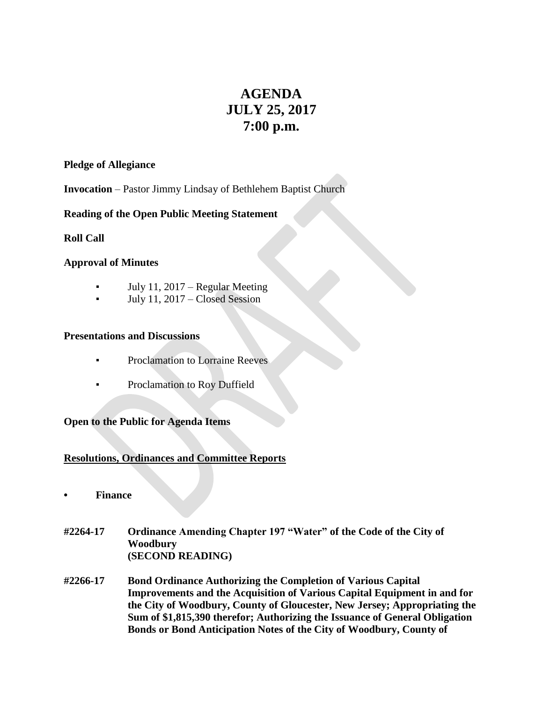# **AGENDA JULY 25, 2017 7:00 p.m.**

#### **Pledge of Allegiance**

**Invocation** – Pastor Jimmy Lindsay of Bethlehem Baptist Church

## **Reading of the Open Public Meeting Statement**

**Roll Call**

## **Approval of Minutes**

- **•** July 11, 2017 Regular Meeting
- July 11,  $2017$  Closed Session

#### **Presentations and Discussions**

- Proclamation to Lorraine Reeves
- Proclamation to Roy Duffield

# **Open to the Public for Agenda Items**

# **Resolutions, Ordinances and Committee Reports**

- **• Finance**
- **#2264-17 Ordinance Amending Chapter 197 "Water" of the Code of the City of Woodbury (SECOND READING)**
- **#2266-17 Bond Ordinance Authorizing the Completion of Various Capital Improvements and the Acquisition of Various Capital Equipment in and for the City of Woodbury, County of Gloucester, New Jersey; Appropriating the Sum of \$1,815,390 therefor; Authorizing the Issuance of General Obligation Bonds or Bond Anticipation Notes of the City of Woodbury, County of**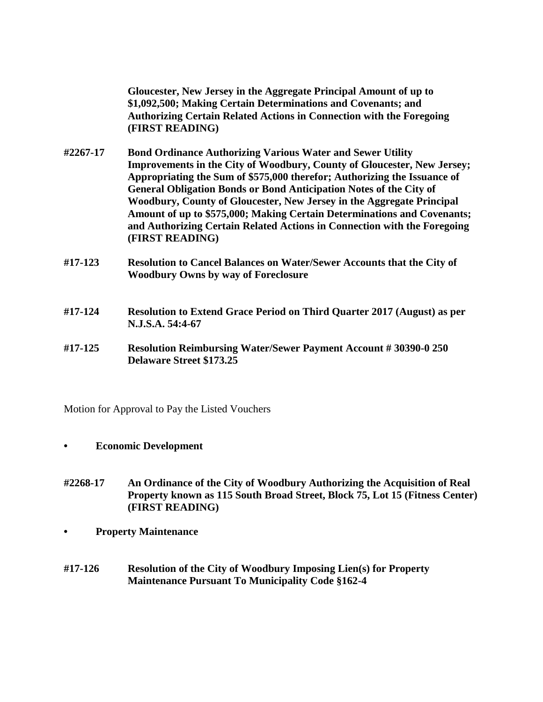**Gloucester, New Jersey in the Aggregate Principal Amount of up to \$1,092,500; Making Certain Determinations and Covenants; and Authorizing Certain Related Actions in Connection with the Foregoing (FIRST READING)**

- **#2267-17 Bond Ordinance Authorizing Various Water and Sewer Utility Improvements in the City of Woodbury, County of Gloucester, New Jersey; Appropriating the Sum of \$575,000 therefor; Authorizing the Issuance of General Obligation Bonds or Bond Anticipation Notes of the City of Woodbury, County of Gloucester, New Jersey in the Aggregate Principal Amount of up to \$575,000; Making Certain Determinations and Covenants; and Authorizing Certain Related Actions in Connection with the Foregoing (FIRST READING)**
- **#17-123 Resolution to Cancel Balances on Water/Sewer Accounts that the City of Woodbury Owns by way of Foreclosure**
- **#17-124 Resolution to Extend Grace Period on Third Quarter 2017 (August) as per N.J.S.A. 54:4-67**
- **#17-125 Resolution Reimbursing Water/Sewer Payment Account # 30390-0 250 Delaware Street \$173.25**

Motion for Approval to Pay the Listed Vouchers

- **• Economic Development**
- **#2268-17 An Ordinance of the City of Woodbury Authorizing the Acquisition of Real Property known as 115 South Broad Street, Block 75, Lot 15 (Fitness Center) (FIRST READING)**
- **• Property Maintenance**
- **#17-126 Resolution of the City of Woodbury Imposing Lien(s) for Property Maintenance Pursuant To Municipality Code §162-4**